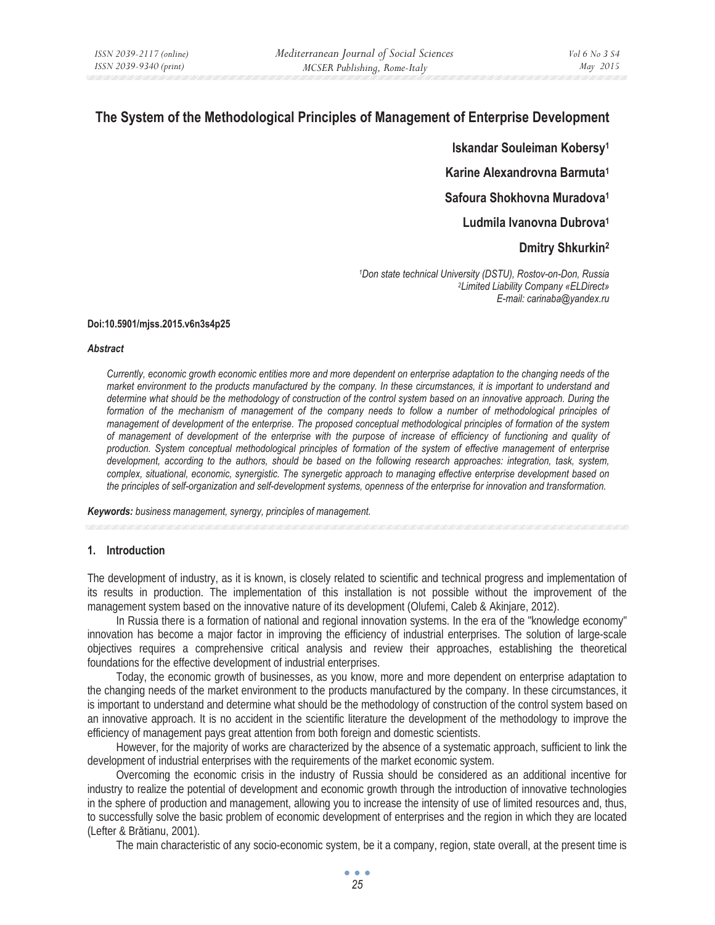# **The System of the Methodological Principles of Management of Enterprise Development**

**Iskandar Souleiman Kobersy1**

**Karine Alexandrovna Barmuta1**

**Safoura Shokhovna Muradova1**

**Ludmila Ivanovna Dubrova1**

## **Dmitry Shkurkin2**

*1Don state technical University (DSTU), Rostov-on-Don, Russia 2Limited Liability Company «ELDirect» E-mail: carinaba@yandex.ru* 

#### **Doi:10.5901/mjss.2015.v6n3s4p25**

#### *Abstract*

*Currently, economic growth economic entities more and more dependent on enterprise adaptation to the changing needs of the market environment to the products manufactured by the company. In these circumstances, it is important to understand and*  determine what should be the methodology of construction of the control system based on an innovative approach. During the formation of the mechanism of management of the company needs to follow a number of methodological principles of *management of development of the enterprise. The proposed conceptual methodological principles of formation of the system of management of development of the enterprise with the purpose of increase of efficiency of functioning and quality of production. System conceptual methodological principles of formation of the system of effective management of enterprise*  development, according to the authors, should be based on the following research approaches: integration, task, system, *complex, situational, economic, synergistic. The synergetic approach to managing effective enterprise development based on the principles of self-organization and self-development systems, openness of the enterprise for innovation and transformation.*

*Keywords: business management, synergy, principles of management.*

## **1. Introduction**

The development of industry, as it is known, is closely related to scientific and technical progress and implementation of its results in production. The implementation of this installation is not possible without the improvement of the management system based on the innovative nature of its development (Olufemi, Caleb & Akinjare, 2012).

In Russia there is a formation of national and regional innovation systems. In the era of the "knowledge economy" innovation has become a major factor in improving the efficiency of industrial enterprises. The solution of large-scale objectives requires a comprehensive critical analysis and review their approaches, establishing the theoretical foundations for the effective development of industrial enterprises.

Today, the economic growth of businesses, as you know, more and more dependent on enterprise adaptation to the changing needs of the market environment to the products manufactured by the company. In these circumstances, it is important to understand and determine what should be the methodology of construction of the control system based on an innovative approach. It is no accident in the scientific literature the development of the methodology to improve the efficiency of management pays great attention from both foreign and domestic scientists.

However, for the majority of works are characterized by the absence of a systematic approach, sufficient to link the development of industrial enterprises with the requirements of the market economic system.

Overcoming the economic crisis in the industry of Russia should be considered as an additional incentive for industry to realize the potential of development and economic growth through the introduction of innovative technologies in the sphere of production and management, allowing you to increase the intensity of use of limited resources and, thus, to successfully solve the basic problem of economic development of enterprises and the region in which they are located (Lefter & Brătianu, 2001).

The main characteristic of any socio-economic system, be it a company, region, state overall, at the present time is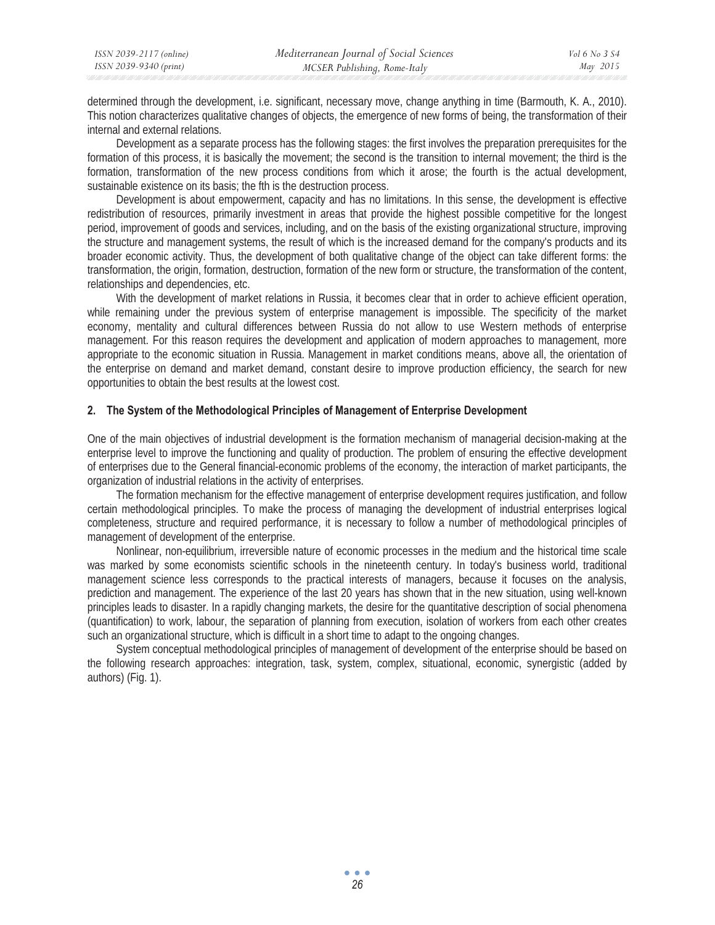| ISSN 2039-2117 (online) | Mediterranean Journal of Social Sciences | Vol 6 No 3 S4 |
|-------------------------|------------------------------------------|---------------|
| ISSN 2039-9340 (print)  | MCSER Publishing, Rome-Italy             | May 2015      |

determined through the development, i.e. significant, necessary move, change anything in time (Barmouth, K. A., 2010). This notion characterizes qualitative changes of objects, the emergence of new forms of being, the transformation of their internal and external relations.

Development as a separate process has the following stages: the first involves the preparation prerequisites for the formation of this process, it is basically the movement; the second is the transition to internal movement; the third is the formation, transformation of the new process conditions from which it arose; the fourth is the actual development, sustainable existence on its basis; the fth is the destruction process.

Development is about empowerment, capacity and has no limitations. In this sense, the development is effective redistribution of resources, primarily investment in areas that provide the highest possible competitive for the longest period, improvement of goods and services, including, and on the basis of the existing organizational structure, improving the structure and management systems, the result of which is the increased demand for the company's products and its broader economic activity. Thus, the development of both qualitative change of the object can take different forms: the transformation, the origin, formation, destruction, formation of the new form or structure, the transformation of the content, relationships and dependencies, etc.

With the development of market relations in Russia, it becomes clear that in order to achieve efficient operation, while remaining under the previous system of enterprise management is impossible. The specificity of the market economy, mentality and cultural differences between Russia do not allow to use Western methods of enterprise management. For this reason requires the development and application of modern approaches to management, more appropriate to the economic situation in Russia. Management in market conditions means, above all, the orientation of the enterprise on demand and market demand, constant desire to improve production efficiency, the search for new opportunities to obtain the best results at the lowest cost.

#### **2. The System of the Methodological Principles of Management of Enterprise Development**

One of the main objectives of industrial development is the formation mechanism of managerial decision-making at the enterprise level to improve the functioning and quality of production. The problem of ensuring the effective development of enterprises due to the General financial-economic problems of the economy, the interaction of market participants, the organization of industrial relations in the activity of enterprises.

The formation mechanism for the effective management of enterprise development requires justification, and follow certain methodological principles. To make the process of managing the development of industrial enterprises logical completeness, structure and required performance, it is necessary to follow a number of methodological principles of management of development of the enterprise.

Nonlinear, non-equilibrium, irreversible nature of economic processes in the medium and the historical time scale was marked by some economists scientific schools in the nineteenth century. In today's business world, traditional management science less corresponds to the practical interests of managers, because it focuses on the analysis, prediction and management. The experience of the last 20 years has shown that in the new situation, using well-known principles leads to disaster. In a rapidly changing markets, the desire for the quantitative description of social phenomena (quantification) to work, labour, the separation of planning from execution, isolation of workers from each other creates such an organizational structure, which is difficult in a short time to adapt to the ongoing changes.

System conceptual methodological principles of management of development of the enterprise should be based on the following research approaches: integration, task, system, complex, situational, economic, synergistic (added by authors) (Fig. 1).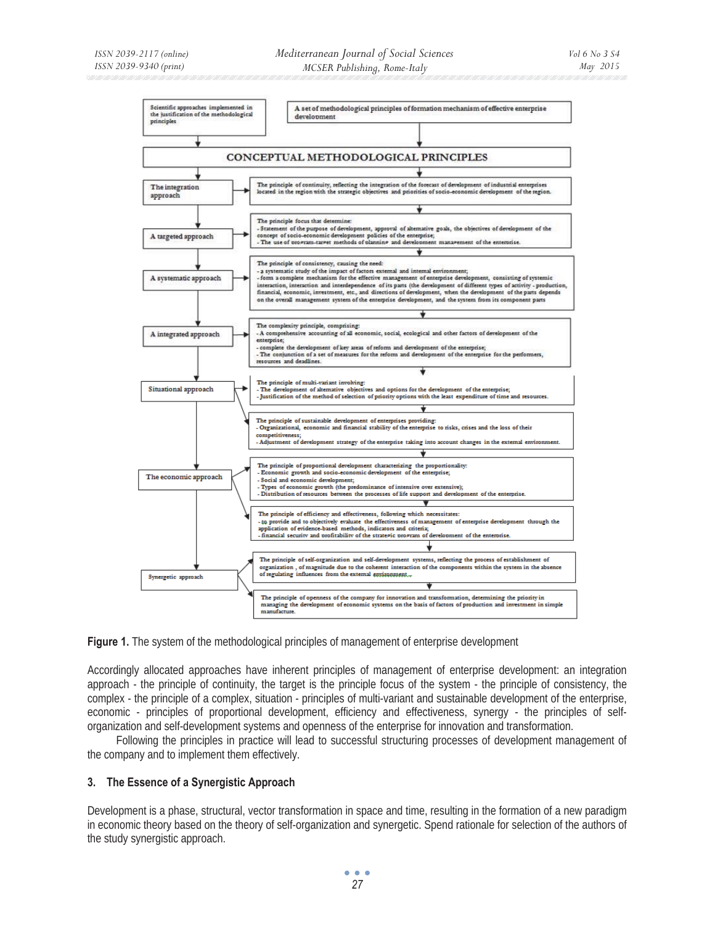

**Figure 1.** The system of the methodological principles of management of enterprise development

Accordingly allocated approaches have inherent principles of management of enterprise development: an integration approach - the principle of continuity, the target is the principle focus of the system - the principle of consistency, the complex - the principle of a complex, situation - principles of multi-variant and sustainable development of the enterprise, economic - principles of proportional development, efficiency and effectiveness, synergy - the principles of selforganization and self-development systems and openness of the enterprise for innovation and transformation.

Following the principles in practice will lead to successful structuring processes of development management of the company and to implement them effectively.

## **3. The Essence of a Synergistic Approach**

Development is a phase, structural, vector transformation in space and time, resulting in the formation of a new paradigm in economic theory based on the theory of self-organization and synergetic. Spend rationale for selection of the authors of the study synergistic approach.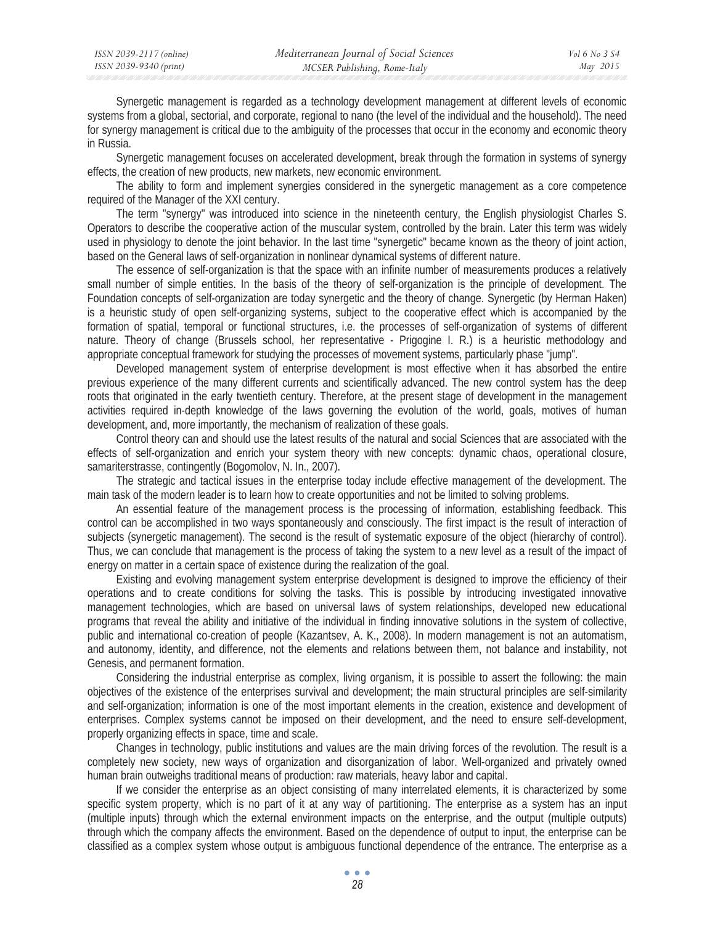Synergetic management is regarded as a technology development management at different levels of economic systems from a global, sectorial, and corporate, regional to nano (the level of the individual and the household). The need for synergy management is critical due to the ambiguity of the processes that occur in the economy and economic theory in Russia.

Synergetic management focuses on accelerated development, break through the formation in systems of synergy effects, the creation of new products, new markets, new economic environment.

The ability to form and implement synergies considered in the synergetic management as a core competence required of the Manager of the XXI century.

The term "synergy" was introduced into science in the nineteenth century, the English physiologist Charles S. Operators to describe the cooperative action of the muscular system, controlled by the brain. Later this term was widely used in physiology to denote the joint behavior. In the last time "synergetic" became known as the theory of joint action, based on the General laws of self-organization in nonlinear dynamical systems of different nature.

The essence of self-organization is that the space with an infinite number of measurements produces a relatively small number of simple entities. In the basis of the theory of self-organization is the principle of development. The Foundation concepts of self-organization are today synergetic and the theory of change. Synergetic (by Herman Haken) is a heuristic study of open self-organizing systems, subject to the cooperative effect which is accompanied by the formation of spatial, temporal or functional structures, i.e. the processes of self-organization of systems of different nature. Theory of change (Brussels school, her representative - Prigogine I. R.) is a heuristic methodology and appropriate conceptual framework for studying the processes of movement systems, particularly phase "jump".

Developed management system of enterprise development is most effective when it has absorbed the entire previous experience of the many different currents and scientifically advanced. The new control system has the deep roots that originated in the early twentieth century. Therefore, at the present stage of development in the management activities required in-depth knowledge of the laws governing the evolution of the world, goals, motives of human development, and, more importantly, the mechanism of realization of these goals.

Control theory can and should use the latest results of the natural and social Sciences that are associated with the effects of self-organization and enrich your system theory with new concepts: dynamic chaos, operational closure, samariterstrasse, contingently (Bogomolov, N. In., 2007).

The strategic and tactical issues in the enterprise today include effective management of the development. The main task of the modern leader is to learn how to create opportunities and not be limited to solving problems.

An essential feature of the management process is the processing of information, establishing feedback. This control can be accomplished in two ways spontaneously and consciously. The first impact is the result of interaction of subjects (synergetic management). The second is the result of systematic exposure of the object (hierarchy of control). Thus, we can conclude that management is the process of taking the system to a new level as a result of the impact of energy on matter in a certain space of existence during the realization of the goal.

Existing and evolving management system enterprise development is designed to improve the efficiency of their operations and to create conditions for solving the tasks. This is possible by introducing investigated innovative management technologies, which are based on universal laws of system relationships, developed new educational programs that reveal the ability and initiative of the individual in finding innovative solutions in the system of collective, public and international co-creation of people (Kazantsev, A. K., 2008). In modern management is not an automatism, and autonomy, identity, and difference, not the elements and relations between them, not balance and instability, not Genesis, and permanent formation.

Considering the industrial enterprise as complex, living organism, it is possible to assert the following: the main objectives of the existence of the enterprises survival and development; the main structural principles are self-similarity and self-organization; information is one of the most important elements in the creation, existence and development of enterprises. Complex systems cannot be imposed on their development, and the need to ensure self-development, properly organizing effects in space, time and scale.

Changes in technology, public institutions and values are the main driving forces of the revolution. The result is a completely new society, new ways of organization and disorganization of labor. Well-organized and privately owned human brain outweighs traditional means of production: raw materials, heavy labor and capital.

If we consider the enterprise as an object consisting of many interrelated elements, it is characterized by some specific system property, which is no part of it at any way of partitioning. The enterprise as a system has an input (multiple inputs) through which the external environment impacts on the enterprise, and the output (multiple outputs) through which the company affects the environment. Based on the dependence of output to input, the enterprise can be classified as a complex system whose output is ambiguous functional dependence of the entrance. The enterprise as a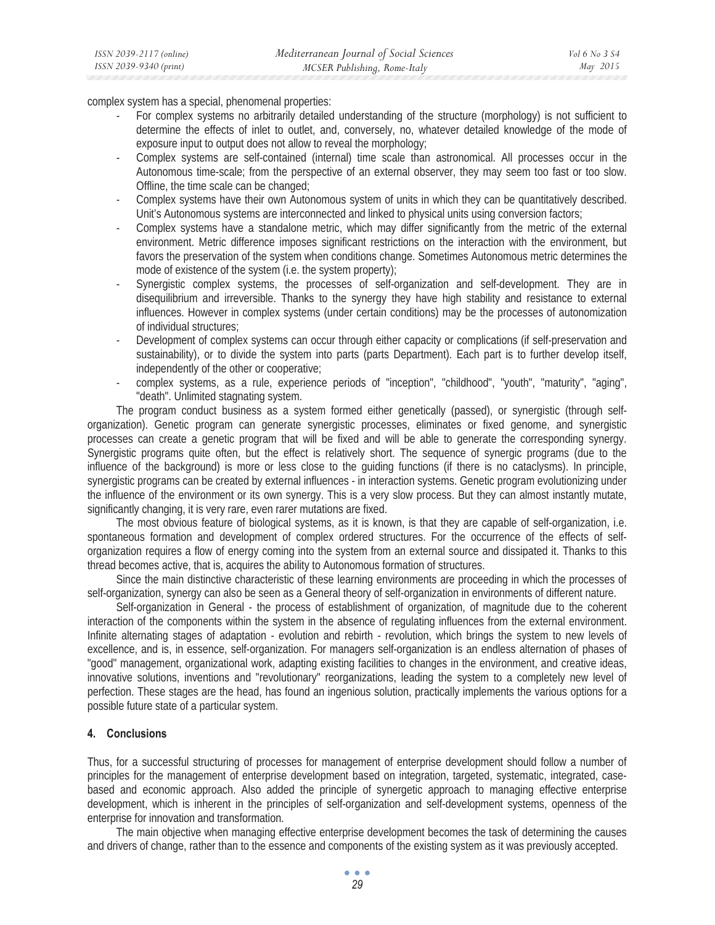complex system has a special, phenomenal properties:

- For complex systems no arbitrarily detailed understanding of the structure (morphology) is not sufficient to determine the effects of inlet to outlet, and, conversely, no, whatever detailed knowledge of the mode of exposure input to output does not allow to reveal the morphology;
- Complex systems are self-contained (internal) time scale than astronomical. All processes occur in the Autonomous time-scale; from the perspective of an external observer, they may seem too fast or too slow. Offline, the time scale can be changed;
- Complex systems have their own Autonomous system of units in which they can be quantitatively described. Unit's Autonomous systems are interconnected and linked to physical units using conversion factors;
- Complex systems have a standalone metric, which may differ significantly from the metric of the external environment. Metric difference imposes significant restrictions on the interaction with the environment, but favors the preservation of the system when conditions change. Sometimes Autonomous metric determines the mode of existence of the system (i.e. the system property);
- Synergistic complex systems, the processes of self-organization and self-development. They are in disequilibrium and irreversible. Thanks to the synergy they have high stability and resistance to external influences. However in complex systems (under certain conditions) may be the processes of autonomization of individual structures;
- Development of complex systems can occur through either capacity or complications (if self-preservation and sustainability), or to divide the system into parts (parts Department). Each part is to further develop itself, independently of the other or cooperative;
- complex systems, as a rule, experience periods of "inception", "childhood", "youth", "maturity", "aging", "death". Unlimited stagnating system.

The program conduct business as a system formed either genetically (passed), or synergistic (through selforganization). Genetic program can generate synergistic processes, eliminates or fixed genome, and synergistic processes can create a genetic program that will be fixed and will be able to generate the corresponding synergy. Synergistic programs quite often, but the effect is relatively short. The sequence of synergic programs (due to the influence of the background) is more or less close to the guiding functions (if there is no cataclysms). In principle, synergistic programs can be created by external influences - in interaction systems. Genetic program evolutionizing under the influence of the environment or its own synergy. This is a very slow process. But they can almost instantly mutate, significantly changing, it is very rare, even rarer mutations are fixed.

The most obvious feature of biological systems, as it is known, is that they are capable of self-organization, i.e. spontaneous formation and development of complex ordered structures. For the occurrence of the effects of selforganization requires a flow of energy coming into the system from an external source and dissipated it. Thanks to this thread becomes active, that is, acquires the ability to Autonomous formation of structures.

Since the main distinctive characteristic of these learning environments are proceeding in which the processes of self-organization, synergy can also be seen as a General theory of self-organization in environments of different nature.

Self-organization in General - the process of establishment of organization, of magnitude due to the coherent interaction of the components within the system in the absence of regulating influences from the external environment. Infinite alternating stages of adaptation - evolution and rebirth - revolution, which brings the system to new levels of excellence, and is, in essence, self-organization. For managers self-organization is an endless alternation of phases of "good" management, organizational work, adapting existing facilities to changes in the environment, and creative ideas, innovative solutions, inventions and "revolutionary" reorganizations, leading the system to a completely new level of perfection. These stages are the head, has found an ingenious solution, practically implements the various options for a possible future state of a particular system.

## **4. Conclusions**

Thus, for a successful structuring of processes for management of enterprise development should follow a number of principles for the management of enterprise development based on integration, targeted, systematic, integrated, casebased and economic approach. Also added the principle of synergetic approach to managing effective enterprise development, which is inherent in the principles of self-organization and self-development systems, openness of the enterprise for innovation and transformation.

The main objective when managing effective enterprise development becomes the task of determining the causes and drivers of change, rather than to the essence and components of the existing system as it was previously accepted.